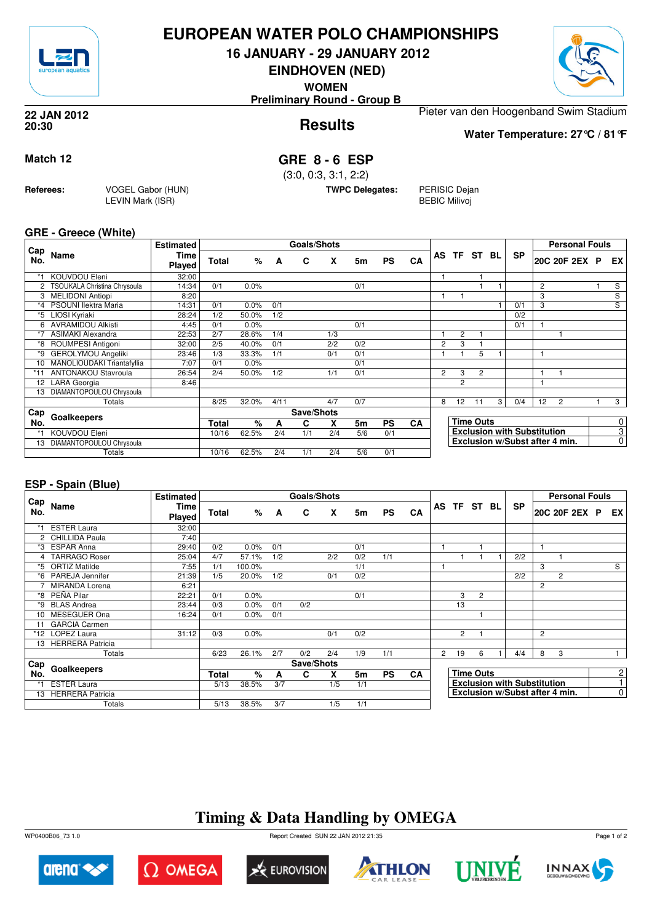

### **EUROPEAN WATER POLO CHAMPIONSHIPS**

**16 JANUARY - 29 JANUARY 2012**

**EINDHOVEN (NED)**

**WOMEN**

**Preliminary Round - Group B**



**Results 22 JAN 2012 20:30**

Pieter van den Hoogenband Swim Stadium

**Water Temperature: 27°C / 81°F**

**Match 12 GRE 8 - 6 ESP**

(3:0, 0:3, 3:1, 2:2)

**TWPC Delegates:** PERISIC Dejan

BEBIC Milivoj

#### **GRE - Greece (White)**

**Referees:** VOGEL Gabor (HUN)

LEVIN Mark (ISR)

|                 |                              | <b>Estimated</b> |              |         |      | <b>Goals/Shots</b> |     |     |           |    |                |                |                  |   |                                    |    | <b>Personal Fouls</b>          |                |
|-----------------|------------------------------|------------------|--------------|---------|------|--------------------|-----|-----|-----------|----|----------------|----------------|------------------|---|------------------------------------|----|--------------------------------|----------------|
| Cap<br>No.      | <b>Name</b>                  | Time<br>Played   | <b>Total</b> | %       | A    | C                  | X   | 5m  | <b>PS</b> | CA | AS             | <b>TF</b>      | ST BL            |   | <b>SP</b>                          |    | 20C 20F 2EX P                  | EX             |
|                 | KOUVDOU Eleni                | 32:00            |              |         |      |                    |     |     |           |    |                |                |                  |   |                                    |    |                                |                |
| 2               | TSOUKALA Christina Chrysoula | 14:34            | 0/1          | $0.0\%$ |      |                    |     | 0/1 |           |    |                |                |                  |   |                                    | 2  |                                | S              |
|                 | <b>MELIDONI Antiopi</b>      | 8:20             |              |         |      |                    |     |     |           |    |                |                |                  |   |                                    | 3  |                                | S              |
| *4              | PSOUNI llektra Maria         | 14:31            | 0/1          | 0.0%    | 0/1  |                    |     |     |           |    |                |                |                  |   | 0/1                                | 3  |                                | $\overline{s}$ |
| *5              | LIOSI Kyriaki                | 28:24            | 1/2          | 50.0%   | 1/2  |                    |     |     |           |    |                |                |                  |   | 0/2                                |    |                                |                |
| 6               | AVRAMIDOU Alkisti            | 4:45             | 0/1          | 0.0%    |      |                    |     | 0/1 |           |    |                |                |                  |   | 0/1                                |    |                                |                |
|                 | <b>ASIMAKI Alexandra</b>     | 22:53            | 2/7          | 28.6%   | 1/4  |                    | 1/3 |     |           |    |                | $\overline{c}$ |                  |   |                                    |    |                                |                |
| *8              | ROUMPESI Antigoni            | 32:00            | 2/5          | 40.0%   | 0/1  |                    | 2/2 | 0/2 |           |    | $\overline{2}$ | 3              |                  |   |                                    |    |                                |                |
| *9              | <b>GEROLYMOU Angeliki</b>    | 23:46            | 1/3          | 33.3%   | 1/1  |                    | 0/1 | 0/1 |           |    |                |                | 5                |   |                                    |    |                                |                |
| 10 <sup>1</sup> | MANOLIOUDAKI Triantafyllia   | 7:07             | 0/1          | 0.0%    |      |                    |     | 0/1 |           |    |                |                |                  |   |                                    |    |                                |                |
|                 | <b>ANTONAKOU Stavroula</b>   | 26:54            | 2/4          | 50.0%   | 1/2  |                    | 1/1 | 0/1 |           |    | $\overline{2}$ | 3              | $\overline{2}$   |   |                                    |    |                                |                |
| 12              | <b>LARA</b> Georgia          | 8:46             |              |         |      |                    |     |     |           |    |                | $\overline{2}$ |                  |   |                                    |    |                                |                |
| 13              | DIAMANTOPOULOU Chrysoula     |                  |              |         |      |                    |     |     |           |    |                |                |                  |   |                                    |    |                                |                |
|                 | Totals                       |                  | 8/25         | 32.0%   | 4/11 |                    | 4/7 | 0/7 |           |    | 8              | 12             | 11               | 3 | 0/4                                | 12 | 2                              | 3              |
| Cap             |                              |                  |              |         |      | Save/Shots         |     |     |           |    |                |                |                  |   |                                    |    |                                |                |
| No.             | Goalkeepers                  |                  | Total        | $\%$    | A    | C                  | X   | 5m  | <b>PS</b> | CA |                |                | <b>Time Outs</b> |   |                                    |    |                                | 0              |
| *1              | <b>KOUVDOU Eleni</b>         |                  | 10/16        | 62.5%   | 2/4  | 1/1                | 2/4 | 5/6 | 0/1       |    |                |                |                  |   | <b>Exclusion with Substitution</b> |    |                                | $\overline{3}$ |
| 13              | DIAMANTOPOULOU Chrysoula     |                  |              |         |      |                    |     |     |           |    |                |                |                  |   |                                    |    | Exclusion w/Subst after 4 min. | $\overline{0}$ |
|                 | Totals                       |                  | 10/16        | 62.5%   | 2/4  | 1/1                | 2/4 | 5/6 | 0/1       |    |                |                |                  |   |                                    |    |                                |                |

#### **ESP - Spain (Blue)**

|            |                       | <b>Estimated</b> |       |        |     | <b>Goals/Shots</b> |     |     |           |           |                |                |                  |                                    |                | <b>Personal Fouls</b> |                |
|------------|-----------------------|------------------|-------|--------|-----|--------------------|-----|-----|-----------|-----------|----------------|----------------|------------------|------------------------------------|----------------|-----------------------|----------------|
| Cap<br>No. | Name                  | Time<br>Played   | Total | %      | A   | C                  | X   | 5m  | <b>PS</b> | CA        |                | AS TF ST BL    |                  | <b>SP</b>                          |                | 20C 20F 2EX P         | EX I           |
|            | <b>ESTER Laura</b>    | 32:00            |       |        |     |                    |     |     |           |           |                |                |                  |                                    |                |                       |                |
|            | 2 CHILLIDA Paula      | 7:40             |       |        |     |                    |     |     |           |           |                |                |                  |                                    |                |                       |                |
|            | *3 ESPAR Anna         | 29:40            | 0/2   | 0.0%   | 0/1 |                    |     | 0/1 |           |           |                |                |                  |                                    |                |                       |                |
|            | <b>TARRAGO Roser</b>  | 25:04            | 4/7   | 57.1%  | 1/2 |                    | 2/2 | 0/2 | 1/1       |           |                |                |                  | 2/2                                |                |                       |                |
| *5         | <b>ORTIZ Matilde</b>  | 7:55             | 1/1   | 100.0% |     |                    |     | 1/1 |           |           |                |                |                  |                                    | 3              |                       | S              |
| *6         | PAREJA Jennifer       | 21:39            | 1/5   | 20.0%  | 1/2 |                    | 0/1 | 0/2 |           |           |                |                |                  | 2/2                                |                | 2                     |                |
|            | <b>MIRANDA Lorena</b> | 6:21             |       |        |     |                    |     |     |           |           |                |                |                  |                                    | $\overline{2}$ |                       |                |
|            | *8 PEÑA Pilar         | 22:21            | 0/1   | 0.0%   |     |                    |     | 0/1 |           |           |                | 3              | $\overline{2}$   |                                    |                |                       |                |
|            | *9 BLAS Andrea        | 23:44            | 0/3   | 0.0%   | 0/1 | 0/2                |     |     |           |           |                | 13             |                  |                                    |                |                       |                |
|            | 10 MESEGUER Ona       | 16:24            | 0/1   | 0.0%   | 0/1 |                    |     |     |           |           |                |                |                  |                                    |                |                       |                |
|            | 11 GARCIA Carmen      |                  |       |        |     |                    |     |     |           |           |                |                |                  |                                    |                |                       |                |
|            | *12 LOPEZ Laura       | 31:12            | 0/3   | 0.0%   |     |                    | 0/1 | 0/2 |           |           |                | $\overline{2}$ |                  |                                    | 2              |                       |                |
|            | 13 HERRERA Patricia   |                  |       |        |     |                    |     |     |           |           |                |                |                  |                                    |                |                       |                |
|            | Totals                |                  | 6/23  | 26.1%  | 2/7 | 0/2                | 2/4 | 1/9 | 1/1       |           | $\overline{2}$ | 19             | 6                | 4/4                                | 8              | 3                     |                |
| Cap        |                       |                  |       |        |     | Save/Shots         |     |     |           |           |                |                |                  |                                    |                |                       |                |
| No.        | Goalkeepers           |                  | Total | $\%$   | A   | C                  | x   | 5m  | <b>PS</b> | <b>CA</b> |                |                | <b>Time Outs</b> |                                    |                |                       | 2              |
|            | <b>ESTER Laura</b>    |                  | 5/13  | 38.5%  | 3/7 |                    | 1/5 | 1/1 |           |           |                |                |                  | <b>Exclusion with Substitution</b> |                |                       |                |
|            | 13 HERRERA Patricia   |                  |       |        |     |                    |     |     |           |           |                |                |                  | Exclusion w/Subst after 4 min.     |                |                       | $\overline{0}$ |
|            | Totals                |                  | 5/13  | 38.5%  | 3/7 |                    | 1/5 | 1/1 |           |           |                |                |                  |                                    |                |                       |                |

## **Timing & Data Handling by OMEGA**

WP0400B06\_73 1.0 Report Created SUN 22 JAN 2012 21:35













Page 1 of 2